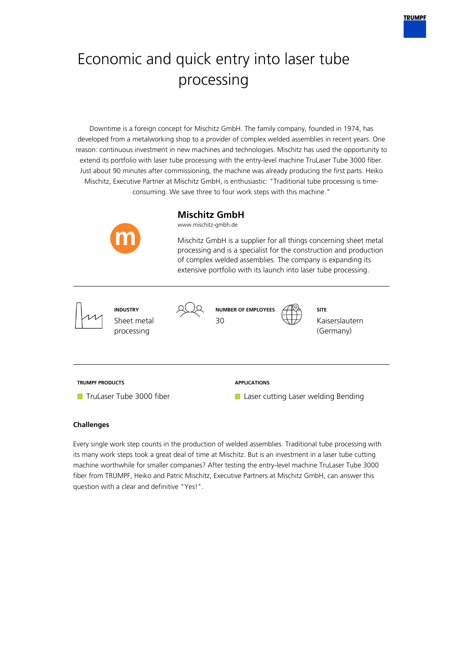

# Economic and quick entry into laser tube processing

Downtime is a foreign concept for Mischitz GmbH. The family company, founded in 1974, has developed from a metalworking shop to a provider of complex welded assemblies in recent years. One reason: continuous investment in new machines and technologies. Mischitz has used the opportunity to extend its portfolio with laser tube processing with the entry-level machine TruLaser Tube 3000 fiber. Just about 90 minutes after commissioning, the machine was already producing the first parts. Heiko Mischitz, Executive Partner at Mischitz GmbH, is enthusiastic: "Traditional tube processing is timeconsuming. We save three to four work steps with this machine."



Every single work step counts in the production of welded assemblies. Traditional tube processing with its many work steps took a great deal of time at Mischitz. But is an investment in a laser tube cutting machine worthwhile for smaller companies? After testing the entry-level machine TruLaser Tube 3000 fiber from TRUMPF, Heiko and Patric Mischitz, Executive Partners at Mischitz GmbH, can answer this question with a clear and definitive "Yes!".